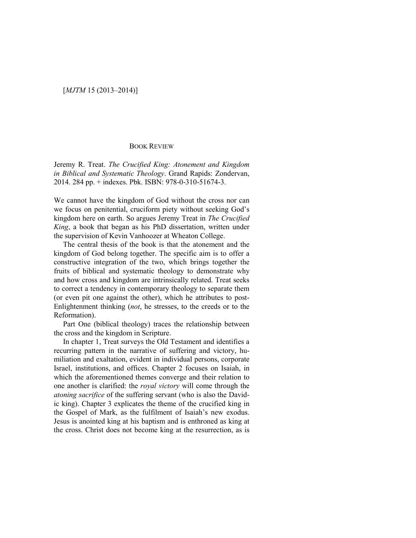## [*MJTM* 15 (2013–2014)]

## BOOK REVIEW

Jeremy R. Treat. *The Crucified King: Atonement and Kingdom in Biblical and Systematic Theology*. Grand Rapids: Zondervan, 2014. 284 pp. + indexes. Pbk. ISBN: 978-0-310-51674-3.

We cannot have the kingdom of God without the cross nor can we focus on penitential, cruciform piety without seeking God's kingdom here on earth. So argues Jeremy Treat in *The Crucified King*, a book that began as his PhD dissertation, written under the supervision of Kevin Vanhoozer at Wheaton College.

The central thesis of the book is that the atonement and the kingdom of God belong together. The specific aim is to offer a constructive integration of the two, which brings together the fruits of biblical and systematic theology to demonstrate why and how cross and kingdom are intrinsically related. Treat seeks to correct a tendency in contemporary theology to separate them (or even pit one against the other), which he attributes to post-Enlightenment thinking (*not*, he stresses, to the creeds or to the Reformation).

Part One (biblical theology) traces the relationship between the cross and the kingdom in Scripture.

In chapter 1, Treat surveys the Old Testament and identifies a recurring pattern in the narrative of suffering and victory, humiliation and exaltation, evident in individual persons, corporate Israel, institutions, and offices. Chapter 2 focuses on Isaiah, in which the aforementioned themes converge and their relation to one another is clarified: the *royal victory* will come through the *atoning sacrifice* of the suffering servant (who is also the Davidic king). Chapter 3 explicates the theme of the crucified king in the Gospel of Mark, as the fulfilment of Isaiah's new exodus. Jesus is anointed king at his baptism and is enthroned as king at the cross. Christ does not become king at the resurrection, as is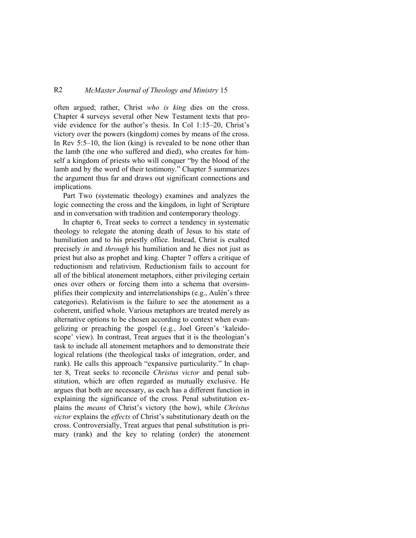## R2 *McMaster Journal of Theology and Ministry* 15

often argued; rather, Christ *who is king* dies on the cross. Chapter 4 surveys several other New Testament texts that provide evidence for the author's thesis. In Col 1:15–20, Christ's victory over the powers (kingdom) comes by means of the cross. In Rev 5:5–10, the lion (king) is revealed to be none other than the lamb (the one who suffered and died), who creates for himself a kingdom of priests who will conquer "by the blood of the lamb and by the word of their testimony." Chapter 5 summarizes the argument thus far and draws out significant connections and implications.

Part Two (systematic theology) examines and analyzes the logic connecting the cross and the kingdom, in light of Scripture and in conversation with tradition and contemporary theology.

In chapter 6, Treat seeks to correct a tendency in systematic theology to relegate the atoning death of Jesus to his state of humiliation and to his priestly office. Instead, Christ is exalted precisely *in* and *through* his humiliation and he dies not just as priest but also as prophet and king. Chapter 7 offers a critique of reductionism and relativism. Reductionism fails to account for all of the biblical atonement metaphors, either privileging certain ones over others or forcing them into a schema that oversimplifies their complexity and interrelationships (e.g., Aulén's three categories). Relativism is the failure to see the atonement as a coherent, unified whole. Various metaphors are treated merely as alternative options to be chosen according to context when evangelizing or preaching the gospel (e.g., Joel Green's 'kaleidoscope' view). In contrast, Treat argues that it is the theologian's task to include all atonement metaphors and to demonstrate their logical relations (the theological tasks of integration, order, and rank). He calls this approach "expansive particularity." In chapter 8, Treat seeks to reconcile *Christus victor* and penal substitution, which are often regarded as mutually exclusive. He argues that both are necessary, as each has a different function in explaining the significance of the cross. Penal substitution explains the *means* of Christ's victory (the how), while *Christus victor* explains the *effects* of Christ's substitutionary death on the cross. Controversially, Treat argues that penal substitution is primary (rank) and the key to relating (order) the atonement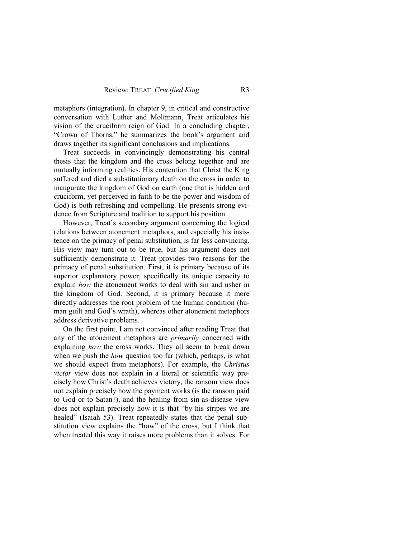metaphors (integration). In chapter 9, in critical and constructive conversation with Luther and Moltmann, Treat articulates his vision of the cruciform reign of God. In a concluding chapter, "Crown of Thorns," he summarizes the book's argument and draws together its significant conclusions and implications.

Treat succeeds in convincingly demonstrating his central thesis that the kingdom and the cross belong together and are mutually informing realities. His contention that Christ the King suffered and died a substitutionary death on the cross in order to inaugurate the kingdom of God on earth (one that is hidden and cruciform, yet perceived in faith to be the power and wisdom of God) is both refreshing and compelling. He presents strong evidence from Scripture and tradition to support his position.

However, Treat's secondary argument concerning the logical relations between atonement metaphors, and especially his insistence on the primacy of penal substitution, is far less convincing. His view may turn out to be true, but his argument does not sufficiently demonstrate it. Treat provides two reasons for the primacy of penal substitution. First, it is primary because of its superior explanatory power, specifically its unique capacity to explain *how* the atonement works to deal with sin and usher in the kingdom of God. Second, it is primary because it more directly addresses the root problem of the human condition (human guilt and God's wrath), whereas other atonement metaphors address derivative problems.

On the first point, I am not convinced after reading Treat that any of the atonement metaphors are *primarily* concerned with explaining *how* the cross works. They all seem to break down when we push the *how* question too far (which, perhaps, is what we should expect from metaphors). For example, the *Christus victor* view does not explain in a literal or scientific way precisely how Christ's death achieves victory, the ransom view does not explain precisely how the payment works (is the ransom paid to God or to Satan?), and the healing from sin-as-disease view does not explain precisely how it is that "by his stripes we are healed" (Isaiah 53). Treat repeatedly states that the penal substitution view explains the "how" of the cross, but I think that when treated this way it raises more problems than it solves. For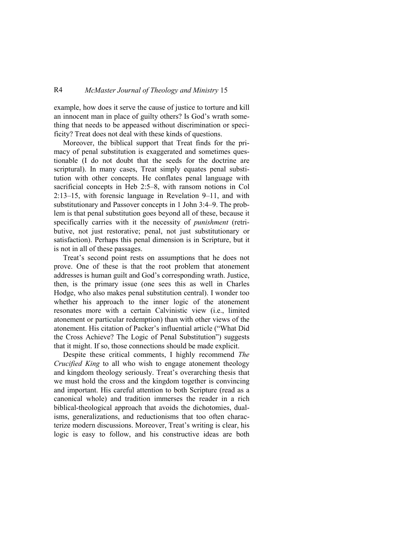## R4 *McMaster Journal of Theology and Ministry* 15

example, how does it serve the cause of justice to torture and kill an innocent man in place of guilty others? Is God's wrath something that needs to be appeased without discrimination or specificity? Treat does not deal with these kinds of questions.

Moreover, the biblical support that Treat finds for the primacy of penal substitution is exaggerated and sometimes questionable (I do not doubt that the seeds for the doctrine are scriptural). In many cases, Treat simply equates penal substitution with other concepts. He conflates penal language with sacrificial concepts in Heb 2:5–8, with ransom notions in Col 2:13–15, with forensic language in Revelation 9–11, and with substitutionary and Passover concepts in 1 John 3:4–9. The problem is that penal substitution goes beyond all of these, because it specifically carries with it the necessity of *punishment* (retributive, not just restorative; penal, not just substitutionary or satisfaction). Perhaps this penal dimension is in Scripture, but it is not in all of these passages.

Treat's second point rests on assumptions that he does not prove. One of these is that the root problem that atonement addresses is human guilt and God's corresponding wrath. Justice, then, is the primary issue (one sees this as well in Charles Hodge, who also makes penal substitution central). I wonder too whether his approach to the inner logic of the atonement resonates more with a certain Calvinistic view (i.e., limited atonement or particular redemption) than with other views of the atonement. His citation of Packer's influential article ("What Did the Cross Achieve? The Logic of Penal Substitution") suggests that it might. If so, those connections should be made explicit.

Despite these critical comments, I highly recommend *The Crucified King* to all who wish to engage atonement theology and kingdom theology seriously. Treat's overarching thesis that we must hold the cross and the kingdom together is convincing and important. His careful attention to both Scripture (read as a canonical whole) and tradition immerses the reader in a rich biblical-theological approach that avoids the dichotomies, dualisms, generalizations, and reductionisms that too often characterize modern discussions. Moreover, Treat's writing is clear, his logic is easy to follow, and his constructive ideas are both